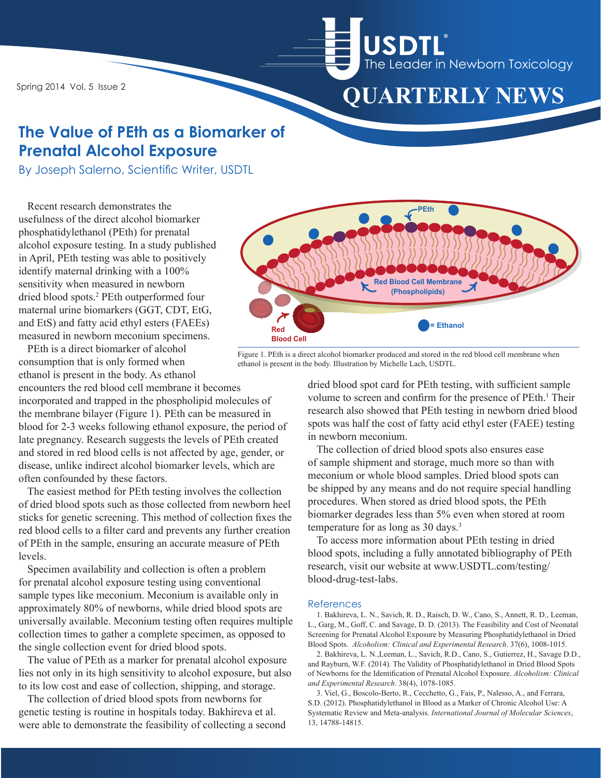Spring 2014 Vol. 5 Issue 2



## **The Value of PEth as a Biomarker of Prenatal Alcohol Exposure**

By Joseph Salerno, Scientific Writer, USDTL

Recent research demonstrates the usefulness of the direct alcohol biomarker phosphatidylethanol (PEth) for prenatal alcohol exposure testing. In a study published in April, PEth testing was able to positively identify maternal drinking with a 100% sensitivity when measured in newborn dried blood spots.2 PEth outperformed four maternal urine biomarkers (GGT, CDT, EtG, and EtS) and fatty acid ethyl esters (FAEEs) measured in newborn meconium specimens.

PEth is a direct biomarker of alcohol consumption that is only formed when ethanol is present in the body. As ethanol

encounters the red blood cell membrane it becomes incorporated and trapped in the phospholipid molecules of the membrane bilayer (Figure 1). PEth can be measured in blood for 2-3 weeks following ethanol exposure, the period of late pregnancy. Research suggests the levels of PEth created and stored in red blood cells is not affected by age, gender, or disease, unlike indirect alcohol biomarker levels, which are often confounded by these factors.

The easiest method for PEth testing involves the collection of dried blood spots such as those collected from newborn heel sticks for genetic screening. This method of collection fixes the red blood cells to a filter card and prevents any further creation of PEth in the sample, ensuring an accurate measure of PEth levels.

Specimen availability and collection is often a problem for prenatal alcohol exposure testing using conventional sample types like meconium. Meconium is available only in approximately 80% of newborns, while dried blood spots are universally available. Meconium testing often requires multiple collection times to gather a complete specimen, as opposed to the single collection event for dried blood spots.

The value of PEth as a marker for prenatal alcohol exposure lies not only in its high sensitivity to alcohol exposure, but also to its low cost and ease of collection, shipping, and storage.

The collection of dried blood spots from newborns for genetic testing is routine in hospitals today. Bakhireva et al. were able to demonstrate the feasibility of collecting a second



Figure 1. PEth is a direct alcohol biomarker produced and stored in the red blood cell membrane when ethanol is present in the body. Illustration by Michelle Lach, USDTL.

dried blood spot card for PEth testing, with sufficient sample volume to screen and confirm for the presence of PEth.<sup>1</sup> Their research also showed that PEth testing in newborn dried blood spots was half the cost of fatty acid ethyl ester (FAEE) testing in newborn meconium.

The collection of dried blood spots also ensures ease of sample shipment and storage, much more so than with meconium or whole blood samples. Dried blood spots can be shipped by any means and do not require special handling procedures. When stored as dried blood spots, the PEth biomarker degrades less than 5% even when stored at room temperature for as long as 30 days.3

To access more information about PEth testing in dried blood spots, including a fully annotated bibliography of PEth research, visit our website at www.USDTL.com/testing/ blood-drug-test-labs.

#### References

1. Bakhireva, L. N., Savich, R. D., Raisch, D. W., Cano, S., Annett, R. D., Leeman, L., Garg, M., Goff, C. and Savage, D. D. (2013). The Feasibility and Cost of Neonatal Screening for Prenatal Alcohol Exposure by Measuring Phosphatidylethanol in Dried Blood Spots. *Alcoholism: Clinical and Experimental Research*. 37(6), 1008-1015.

2. Bakhireva, L. N.,Leeman, L., Savich, R.D., Cano, S., Gutierrez, H., Savage D.D., and Rayburn, W.F. (2014). The Validity of Phosphatidylethanol in Dried Blood Spots of Newborns for the Identification of Prenatal Alcohol Exposure. *Alcoholism: Clinical and Experimental Research*. 38(4), 1078-1085.

3. Viel, G., Boscolo-Berto, R., Cecchetto, G., Fais, P., Nalesso, A., and Ferrara, S.D. (2012). Phosphatidylethanol in Blood as a Marker of Chronic Alcohol Use: A Systematic Review and Meta-analysis. *International Journal of Molecular Sciences*, 13, 14788-14815.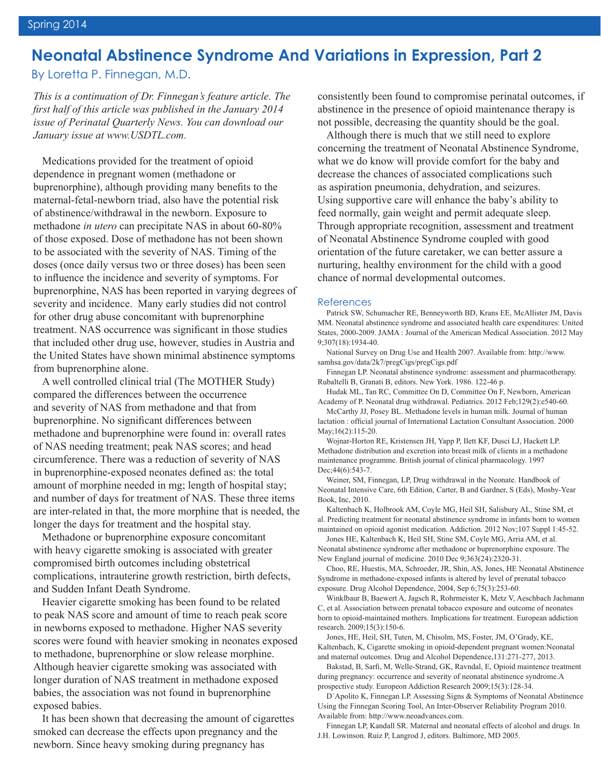## **Neonatal Abstinence Syndrome And Variations in Expression, Part 2**

By Loretta P. Finnegan, M.D.

*This is a continuation of Dr. Finnegan's feature article. The first half of this article was published in the January 2014 issue of Perinatal Quarterly News. You can download our January issue at www.USDTL.com.*

Medications provided for the treatment of opioid dependence in pregnant women (methadone or buprenorphine), although providing many benefits to the maternal-fetal-newborn triad, also have the potential risk of abstinence/withdrawal in the newborn. Exposure to methadone *in utero* can precipitate NAS in about 60-80% of those exposed. Dose of methadone has not been shown to be associated with the severity of NAS. Timing of the doses (once daily versus two or three doses) has been seen to influence the incidence and severity of symptoms. For buprenorphine, NAS has been reported in varying degrees of severity and incidence. Many early studies did not control for other drug abuse concomitant with buprenorphine treatment. NAS occurrence was significant in those studies that included other drug use, however, studies in Austria and the United States have shown minimal abstinence symptoms from buprenorphine alone.

A well controlled clinical trial (The MOTHER Study) compared the differences between the occurrence and severity of NAS from methadone and that from buprenorphine. No significant differences between methadone and buprenorphine were found in: overall rates of NAS needing treatment; peak NAS scores; and head circumference. There was a reduction of severity of NAS in buprenorphine-exposed neonates defined as: the total amount of morphine needed in mg; length of hospital stay; and number of days for treatment of NAS. These three items are inter-related in that, the more morphine that is needed, the longer the days for treatment and the hospital stay.

Methadone or buprenorphine exposure concomitant with heavy cigarette smoking is associated with greater compromised birth outcomes including obstetrical complications, intrauterine growth restriction, birth defects, and Sudden Infant Death Syndrome.

Heavier cigarette smoking has been found to be related to peak NAS score and amount of time to reach peak score in newborns exposed to methadone. Higher NAS severity scores were found with heavier smoking in neonates exposed to methadone, buprenorphine or slow release morphine. Although heavier cigarette smoking was associated with longer duration of NAS treatment in methadone exposed babies, the association was not found in buprenorphine exposed babies.

It has been shown that decreasing the amount of cigarettes smoked can decrease the effects upon pregnancy and the newborn. Since heavy smoking during pregnancy has

consistently been found to compromise perinatal outcomes, if abstinence in the presence of opioid maintenance therapy is not possible, decreasing the quantity should be the goal.

Although there is much that we still need to explore concerning the treatment of Neonatal Abstinence Syndrome, what we do know will provide comfort for the baby and decrease the chances of associated complications such as aspiration pneumonia, dehydration, and seizures. Using supportive care will enhance the baby's ability to feed normally, gain weight and permit adequate sleep. Through appropriate recognition, assessment and treatment of Neonatal Abstinence Syndrome coupled with good orientation of the future caretaker, we can better assure a nurturing, healthy environment for the child with a good chance of normal developmental outcomes.

#### References

Patrick SW, Schumacher RE, Benneyworth BD, Krans EE, McAllister JM, Davis MM. Neonatal abstinence syndrome and associated health care expenditures: United States, 2000-2009. JAMA : Journal of the American Medical Association. 2012 May 9;307(18):1934-40.

National Survey on Drug Use and Health 2007. Available from: http://www. samhsa.gov/data/2k7/pregCigs/pregCigs.pdf

Finnegan LP. Neonatal abstinence syndrome: assessment and pharmacotherapy. Rubaltelli B, Granati B, editors. New York. 1986. 122-46 p.

Hudak ML, Tan RC, Committee On D, Committee On F, Newborn, American Academy of P. Neonatal drug withdrawal. Pediatrics. 2012 Feb;129(2):e540-60.

McCarthy JJ, Posey BL. Methadone levels in human milk. Journal of human lactation : official journal of International Lactation Consultant Association. 2000 May;16(2):115-20.

Wojnar-Horton RE, Kristensen JH, Yapp P, Ilett KF, Dusci LJ, Hackett LP. Methadone distribution and excretion into breast milk of clients in a methadone maintenance programme. British journal of clinical pharmacology. 1997 Dec; 44(6): 543-7.

Weiner, SM, Finnegan, LP, Drug withdrawal in the Neonate. Handbook of Neonatal Intensive Care, 6th Edition, Carter, B and Gardner, S (Eds), Mosby-Year Book, Inc, 2010.

Kaltenbach K, Holbrook AM, Coyle MG, Heil SH, Salisbury AL, Stine SM, et al. Predicting treatment for neonatal abstinence syndrome in infants born to women maintained on opioid agonist medication. Addiction. 2012 Nov;107 Suppl 1:45-52.

Jones HE, Kaltenbach K, Heil SH, Stine SM, Coyle MG, Arria AM, et al. Neonatal abstinence syndrome after methadone or buprenorphine exposure. The New England journal of medicine. 2010 Dec 9;363(24):2320-31.

Choo, RE, Huestis, MA, Schroeder, JR, Shin, AS, Jones, HE Neonatal Abstinence Syndrome in methadone-exposed infants is altered by level of prenatal tobacco exposure. Drug Alcohol Dependence, 2004, Sep 6;75(3):253-60.

Winklbaur B, Baewert A, Jagsch R, Rohrmeister K, Metz V, Aeschbach Jachmann C, et al. Association between prenatal tobacco exposure and outcome of neonates born to opioid-maintained mothers. Implications for treatment. European addiction research. 2009;15(3):150-6.

Jones, HE, Heil, SH, Tuten, M, Chisolm, MS, Foster, JM, O'Grady, KE, Kaltenbach, K, Cigarette smoking in opioid-dependent pregnant women:Neonatal and maternal outcomes. Drug and Alcohol Dependence,131:271-277, 2013.

Bakstad, B, Sarfi, M, Welle-Strand, GK, Ravndal, E, Opioid maintence treatment during pregnancy: occurrence and severity of neonatal abstinence syndrome.A prospective study. Europeon Addiction Research 2009;15(3):128-34.

D`Apolito K, Finnegan LP. Assessing Signs & Symptoms of Neonatal Abstinence Using the Finnegan Scoring Tool, An Inter-Observer Reliability Program 2010. Available from: http://www.neoadvances.com.

Finnegan LP, Kandall SR. Maternal and neonatal effects of alcohol and drugs. In J.H. Lowinson. Ruiz P, Langrod J, editors. Baltimore, MD 2005.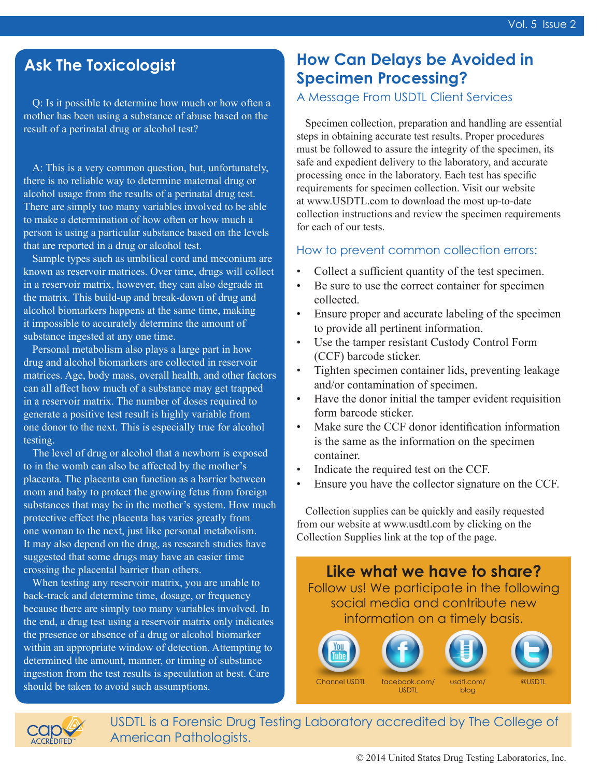Q: Is it possible to determine how much or how often a mother has been using a substance of abuse based on the result of a perinatal drug or alcohol test?

A: This is a very common question, but, unfortunately, there is no reliable way to determine maternal drug or alcohol usage from the results of a perinatal drug test. There are simply too many variables involved to be able to make a determination of how often or how much a person is using a particular substance based on the levels that are reported in a drug or alcohol test.

Sample types such as umbilical cord and meconium are known as reservoir matrices. Over time, drugs will collect in a reservoir matrix, however, they can also degrade in the matrix. This build-up and break-down of drug and alcohol biomarkers happens at the same time, making it impossible to accurately determine the amount of substance ingested at any one time.

Personal metabolism also plays a large part in how drug and alcohol biomarkers are collected in reservoir matrices. Age, body mass, overall health, and other factors can all affect how much of a substance may get trapped in a reservoir matrix. The number of doses required to generate a positive test result is highly variable from one donor to the next. This is especially true for alcohol testing.

The level of drug or alcohol that a newborn is exposed to in the womb can also be affected by the mother's placenta. The placenta can function as a barrier between mom and baby to protect the growing fetus from foreign substances that may be in the mother's system. How much protective effect the placenta has varies greatly from one woman to the next, just like personal metabolism. It may also depend on the drug, as research studies have suggested that some drugs may have an easier time crossing the placental barrier than others.

When testing any reservoir matrix, you are unable to back-track and determine time, dosage, or frequency because there are simply too many variables involved. In the end, a drug test using a reservoir matrix only indicates the presence or absence of a drug or alcohol biomarker within an appropriate window of detection. Attempting to determined the amount, manner, or timing of substance ingestion from the test results is speculation at best. Care should be taken to avoid such assumptions.

# **Ask The Toxicologist How Can Delays be Avoided in Specimen Processing?**

### A Message From USDTL Client Services

Specimen collection, preparation and handling are essential steps in obtaining accurate test results. Proper procedures must be followed to assure the integrity of the specimen, its safe and expedient delivery to the laboratory, and accurate processing once in the laboratory. Each test has specific requirements for specimen collection. Visit our website at www.USDTL.com to download the most up-to-date collection instructions and review the specimen requirements for each of our tests.

#### How to prevent common collection errors:

- Collect a sufficient quantity of the test specimen.
- Be sure to use the correct container for specimen collected.
- Ensure proper and accurate labeling of the specimen to provide all pertinent information.
- Use the tamper resistant Custody Control Form (CCF) barcode sticker.
- Tighten specimen container lids, preventing leakage and/or contamination of specimen.
- Have the donor initial the tamper evident requisition form barcode sticker.
- Make sure the CCF donor identification information is the same as the information on the specimen container.
- Indicate the required test on the CCF.
- Ensure you have the collector signature on the CCF.

Collection supplies can be quickly and easily requested from our website at www.usdtl.com by clicking on the Collection Supplies link at the top of the page.





USDTL is a Forensic Drug Testing Laboratory accredited by The College of American Pathologists.